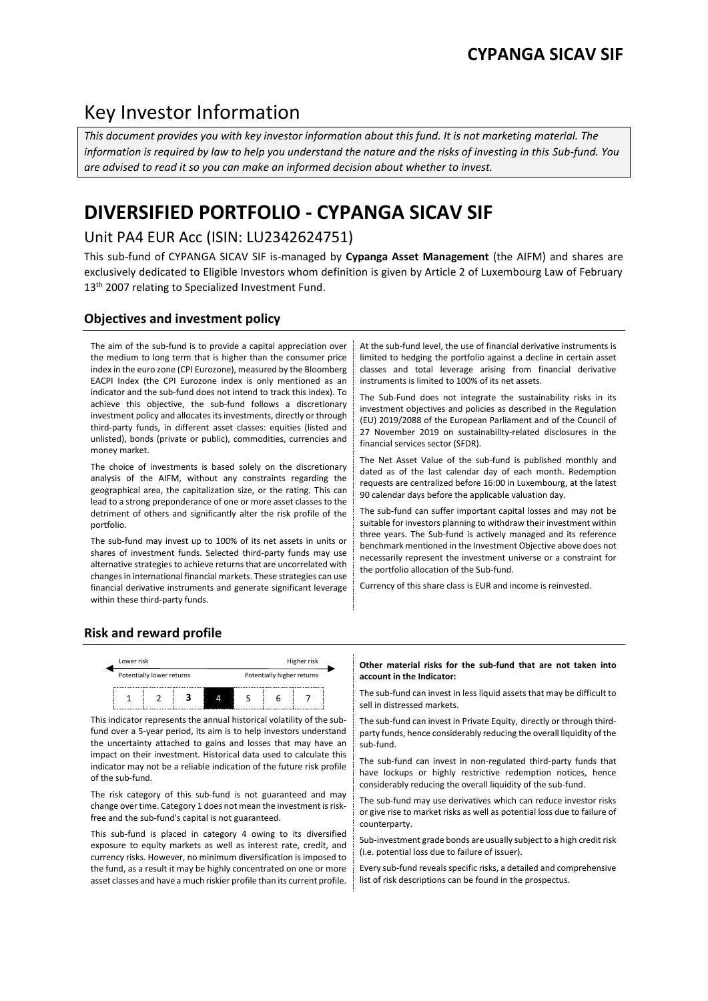## Key Investor Information

*This document provides you with key investor information about this fund. It is not marketing material. The information is required by law to help you understand the nature and the risks of investing in this Sub-fund. You are advised to read it so you can make an informed decision about whether to invest.*

# **DIVERSIFIED PORTFOLIO - CYPANGA SICAV SIF**

## Unit PA4 EUR Acc (ISIN: LU2342624751)

This sub-fund of CYPANGA SICAV SIF is-managed by **Cypanga Asset Management** (the AIFM) and shares are exclusively dedicated to Eligible Investors whom definition is given by Article 2 of Luxembourg Law of February 13<sup>th</sup> 2007 relating to Specialized Investment Fund.

## **Objectives and investment policy**

The aim of the sub-fund is to provide a capital appreciation over the medium to long term that is higher than the consumer price index in the euro zone (CPI Eurozone), measured by the Bloomberg EACPI Index (the CPI Eurozone index is only mentioned as an indicator and the sub-fund does not intend to track this index). To achieve this objective, the sub-fund follows a discretionary investment policy and allocates its investments, directly or through third-party funds, in different asset classes: equities (listed and unlisted), bonds (private or public), commodities, currencies and money market.

The choice of investments is based solely on the discretionary analysis of the AIFM, without any constraints regarding the geographical area, the capitalization size, or the rating. This can lead to a strong preponderance of one or more asset classes to the detriment of others and significantly alter the risk profile of the portfolio.

The sub-fund may invest up to 100% of its net assets in units or shares of investment funds. Selected third-party funds may use alternative strategies to achieve returns that are uncorrelated with changes in international financial markets. These strategies can use financial derivative instruments and generate significant leverage within these third-party funds.

At the sub-fund level, the use of financial derivative instruments is limited to hedging the portfolio against a decline in certain asset classes and total leverage arising from financial derivative instruments is limited to 100% of its net assets.

The Sub-Fund does not integrate the sustainability risks in its investment objectives and policies as described in the Regulation (EU) 2019/2088 of the European Parliament and of the Council of 27 November 2019 on sustainability-related disclosures in the financial services sector (SFDR).

The Net Asset Value of the sub-fund is published monthly and dated as of the last calendar day of each month. Redemption requests are centralized before 16:00 in Luxembourg, at the latest 90 calendar days before the applicable valuation day.

The sub-fund can suffer important capital losses and may not be suitable for investors planning to withdraw their investment within three years. The Sub-fund is actively managed and its reference benchmark mentioned in the Investment Objective above does not necessarily represent the investment universe or a constraint for the portfolio allocation of the Sub-fund.

Currency of this share class is EUR and income is reinvested.

## **Risk and reward profile**



This indicator represents the annual historical volatility of the subfund over a 5-year period, its aim is to help investors understand the uncertainty attached to gains and losses that may have an impact on their investment. Historical data used to calculate this indicator may not be a reliable indication of the future risk profile of the sub-fund.

The risk category of this sub-fund is not guaranteed and may change over time. Category 1 does not mean the investment is riskfree and the sub-fund's capital is not guaranteed.

This sub-fund is placed in category 4 owing to its diversified exposure to equity markets as well as interest rate, credit, and currency risks. However, no minimum diversification is imposed to the fund, as a result it may be highly concentrated on one or more asset classes and have a much riskier profile than its current profile.

#### **Other material risks for the sub-fund that are not taken into account in the Indicator:**

The sub-fund can invest in less liquid assets that may be difficult to sell in distressed markets.

The sub-fund can invest in Private Equity, directly or through thirdparty funds, hence considerably reducing the overall liquidity of the sub-fund.

The sub-fund can invest in non-regulated third-party funds that have lockups or highly restrictive redemption notices, hence considerably reducing the overall liquidity of the sub-fund.

The sub-fund may use derivatives which can reduce investor risks or give rise to market risks as well as potential loss due to failure of counterparty.

Sub-investment grade bonds are usually subject to a high credit risk (i.e. potential loss due to failure of issuer).

Every sub-fund reveals specific risks, a detailed and comprehensive list of risk descriptions can be found in the prospectus.